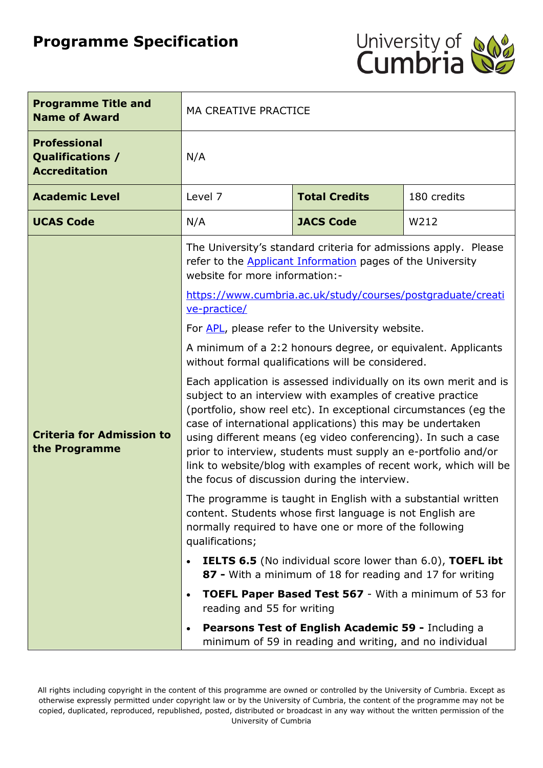# **Programme Specification**



| <b>Programme Title and</b><br><b>Name of Award</b>                     | <b>MA CREATIVE PRACTICE</b>                                                                                                                                                                                                                                                                                                                                                                                                                                                                                                                                                                                                                                                                                                                                                                                                                                                                                                                                 |                                                                                                               |      |  |
|------------------------------------------------------------------------|-------------------------------------------------------------------------------------------------------------------------------------------------------------------------------------------------------------------------------------------------------------------------------------------------------------------------------------------------------------------------------------------------------------------------------------------------------------------------------------------------------------------------------------------------------------------------------------------------------------------------------------------------------------------------------------------------------------------------------------------------------------------------------------------------------------------------------------------------------------------------------------------------------------------------------------------------------------|---------------------------------------------------------------------------------------------------------------|------|--|
| <b>Professional</b><br><b>Qualifications /</b><br><b>Accreditation</b> | N/A                                                                                                                                                                                                                                                                                                                                                                                                                                                                                                                                                                                                                                                                                                                                                                                                                                                                                                                                                         |                                                                                                               |      |  |
| <b>Academic Level</b>                                                  | Level 7<br><b>Total Credits</b><br>180 credits                                                                                                                                                                                                                                                                                                                                                                                                                                                                                                                                                                                                                                                                                                                                                                                                                                                                                                              |                                                                                                               |      |  |
| <b>UCAS Code</b>                                                       | N/A                                                                                                                                                                                                                                                                                                                                                                                                                                                                                                                                                                                                                                                                                                                                                                                                                                                                                                                                                         | <b>JACS Code</b>                                                                                              | W212 |  |
| <b>Criteria for Admission to</b><br>the Programme                      | The University's standard criteria for admissions apply. Please<br>refer to the <b>Applicant Information</b> pages of the University<br>website for more information:-<br>https://www.cumbria.ac.uk/study/courses/postgraduate/creati<br>ve-practice/<br>For APL, please refer to the University website.<br>A minimum of a 2:2 honours degree, or equivalent. Applicants<br>without formal qualifications will be considered.<br>Each application is assessed individually on its own merit and is<br>subject to an interview with examples of creative practice<br>(portfolio, show reel etc). In exceptional circumstances (eg the<br>case of international applications) this may be undertaken<br>using different means (eg video conferencing). In such a case<br>prior to interview, students must supply an e-portfolio and/or<br>link to website/blog with examples of recent work, which will be<br>the focus of discussion during the interview. |                                                                                                               |      |  |
|                                                                        | The programme is taught in English with a substantial written<br>content. Students whose first language is not English are<br>normally required to have one or more of the following<br>qualifications;                                                                                                                                                                                                                                                                                                                                                                                                                                                                                                                                                                                                                                                                                                                                                     |                                                                                                               |      |  |
|                                                                        | <b>IELTS 6.5</b> (No individual score lower than 6.0), TOEFL ibt<br>$\bullet$<br>87 - With a minimum of 18 for reading and 17 for writing                                                                                                                                                                                                                                                                                                                                                                                                                                                                                                                                                                                                                                                                                                                                                                                                                   |                                                                                                               |      |  |
|                                                                        | <b>TOEFL Paper Based Test 567 - With a minimum of 53 for</b><br>$\bullet$<br>reading and 55 for writing                                                                                                                                                                                                                                                                                                                                                                                                                                                                                                                                                                                                                                                                                                                                                                                                                                                     |                                                                                                               |      |  |
|                                                                        | $\bullet$                                                                                                                                                                                                                                                                                                                                                                                                                                                                                                                                                                                                                                                                                                                                                                                                                                                                                                                                                   | Pearsons Test of English Academic 59 - Including a<br>minimum of 59 in reading and writing, and no individual |      |  |

All rights including copyright in the content of this programme are owned or controlled by the University of Cumbria. Except as otherwise expressly permitted under copyright law or by the University of Cumbria, the content of the programme may not be copied, duplicated, reproduced, republished, posted, distributed or broadcast in any way without the written permission of the University of Cumbria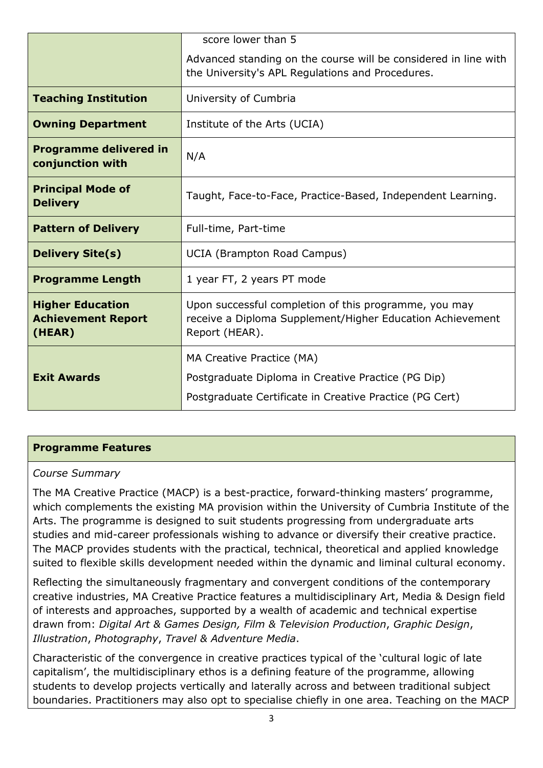|                                                                | score lower than 5                                                                                                                         |  |
|----------------------------------------------------------------|--------------------------------------------------------------------------------------------------------------------------------------------|--|
|                                                                | Advanced standing on the course will be considered in line with<br>the University's APL Regulations and Procedures.                        |  |
| <b>Teaching Institution</b>                                    | University of Cumbria                                                                                                                      |  |
| <b>Owning Department</b>                                       | Institute of the Arts (UCIA)                                                                                                               |  |
| <b>Programme delivered in</b><br>conjunction with              | N/A                                                                                                                                        |  |
| <b>Principal Mode of</b><br><b>Delivery</b>                    | Taught, Face-to-Face, Practice-Based, Independent Learning.                                                                                |  |
| <b>Pattern of Delivery</b>                                     | Full-time, Part-time                                                                                                                       |  |
| <b>Delivery Site(s)</b>                                        | <b>UCIA (Brampton Road Campus)</b>                                                                                                         |  |
| <b>Programme Length</b>                                        | 1 year FT, 2 years PT mode                                                                                                                 |  |
| <b>Higher Education</b><br><b>Achievement Report</b><br>(HEAR) | Upon successful completion of this programme, you may<br>receive a Diploma Supplement/Higher Education Achievement<br>Report (HEAR).       |  |
| <b>Exit Awards</b>                                             | MA Creative Practice (MA)<br>Postgraduate Diploma in Creative Practice (PG Dip)<br>Postgraduate Certificate in Creative Practice (PG Cert) |  |

## **Programme Features**

#### *Course Summary*

The MA Creative Practice (MACP) is a best-practice, forward-thinking masters' programme, which complements the existing MA provision within the University of Cumbria Institute of the Arts. The programme is designed to suit students progressing from undergraduate arts studies and mid-career professionals wishing to advance or diversify their creative practice. The MACP provides students with the practical, technical, theoretical and applied knowledge suited to flexible skills development needed within the dynamic and liminal cultural economy.

Reflecting the simultaneously fragmentary and convergent conditions of the contemporary creative industries, MA Creative Practice features a multidisciplinary Art, Media & Design field of interests and approaches, supported by a wealth of academic and technical expertise drawn from: *Digital Art & Games Design, Film & Television Production*, *Graphic Design*, *Illustration*, *Photography*, *Travel & Adventure Media*.

Characteristic of the convergence in creative practices typical of the 'cultural logic of late capitalism', the multidisciplinary ethos is a defining feature of the programme, allowing students to develop projects vertically and laterally across and between traditional subject boundaries. Practitioners may also opt to specialise chiefly in one area. Teaching on the MACP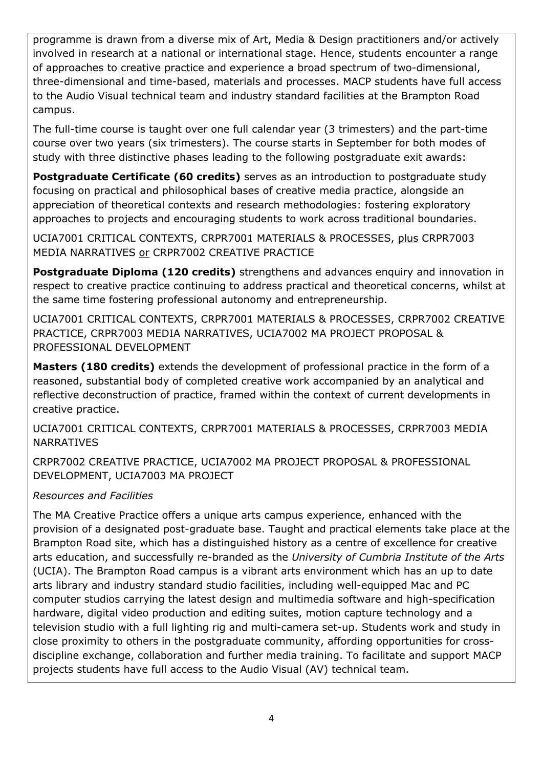programme is drawn from a diverse mix of Art, Media & Design practitioners and/or actively involved in research at a national or international stage. Hence, students encounter a range of approaches to creative practice and experience a broad spectrum of two-dimensional, three-dimensional and time-based, materials and processes. MACP students have full access to the Audio Visual technical team and industry standard facilities at the Brampton Road campus.

The full-time course is taught over one full calendar year (3 trimesters) and the part-time course over two years (six trimesters). The course starts in September for both modes of study with three distinctive phases leading to the following postgraduate exit awards:

**Postgraduate Certificate (60 credits)** serves as an introduction to postgraduate study focusing on practical and philosophical bases of creative media practice, alongside an appreciation of theoretical contexts and research methodologies: fostering exploratory approaches to projects and encouraging students to work across traditional boundaries.

UCIA7001 CRITICAL CONTEXTS, CRPR7001 MATERIALS & PROCESSES, plus CRPR7003 MEDIA NARRATIVES or CRPR7002 CREATIVE PRACTICE

**Postgraduate Diploma (120 credits)** strengthens and advances enquiry and innovation in respect to creative practice continuing to address practical and theoretical concerns, whilst at the same time fostering professional autonomy and entrepreneurship.

UCIA7001 CRITICAL CONTEXTS, CRPR7001 MATERIALS & PROCESSES, CRPR7002 CREATIVE PRACTICE, CRPR7003 MEDIA NARRATIVES, UCIA7002 MA PROJECT PROPOSAL & PROFESSIONAL DEVELOPMENT

**Masters (180 credits)** extends the development of professional practice in the form of a reasoned, substantial body of completed creative work accompanied by an analytical and reflective deconstruction of practice, framed within the context of current developments in creative practice.

UCIA7001 CRITICAL CONTEXTS, CRPR7001 MATERIALS & PROCESSES, CRPR7003 MEDIA NARRATIVES

CRPR7002 CREATIVE PRACTICE, UCIA7002 MA PROJECT PROPOSAL & PROFESSIONAL DEVELOPMENT, UCIA7003 MA PROJECT

## *Resources and Facilities*

The MA Creative Practice offers a unique arts campus experience, enhanced with the provision of a designated post-graduate base. Taught and practical elements take place at the Brampton Road site, which has a distinguished history as a centre of excellence for creative arts education, and successfully re-branded as the *University of Cumbria Institute of the Arts*  (UCIA). The Brampton Road campus is a vibrant arts environment which has an up to date arts library and industry standard studio facilities, including well-equipped Mac and PC computer studios carrying the latest design and multimedia software and high-specification hardware, digital video production and editing suites, motion capture technology and a television studio with a full lighting rig and multi-camera set-up. Students work and study in close proximity to others in the postgraduate community, affording opportunities for crossdiscipline exchange, collaboration and further media training. To facilitate and support MACP projects students have full access to the Audio Visual (AV) technical team.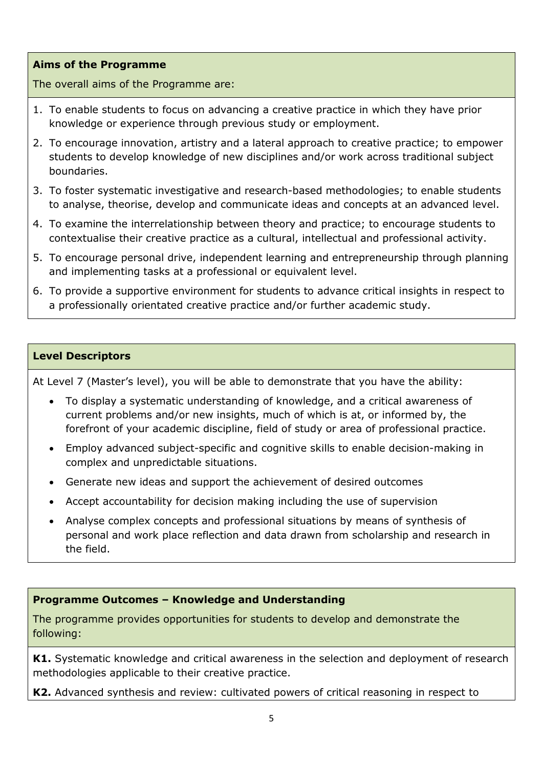### **Aims of the Programme**

The overall aims of the Programme are:

- 1. To enable students to focus on advancing a creative practice in which they have prior knowledge or experience through previous study or employment.
- 2. To encourage innovation, artistry and a lateral approach to creative practice; to empower students to develop knowledge of new disciplines and/or work across traditional subject boundaries.
- 3. To foster systematic investigative and research-based methodologies; to enable students to analyse, theorise, develop and communicate ideas and concepts at an advanced level.
- 4. To examine the interrelationship between theory and practice; to encourage students to contextualise their creative practice as a cultural, intellectual and professional activity.
- 5. To encourage personal drive, independent learning and entrepreneurship through planning and implementing tasks at a professional or equivalent level.
- 6. To provide a supportive environment for students to advance critical insights in respect to a professionally orientated creative practice and/or further academic study.

#### **Level Descriptors**

At Level 7 (Master's level), you will be able to demonstrate that you have the ability:

- To display a systematic understanding of knowledge, and a critical awareness of current problems and/or new insights, much of which is at, or informed by, the forefront of your academic discipline, field of study or area of professional practice.
- Employ advanced subject-specific and cognitive skills to enable decision-making in complex and unpredictable situations.
- Generate new ideas and support the achievement of desired outcomes
- Accept accountability for decision making including the use of supervision
- Analyse complex concepts and professional situations by means of synthesis of personal and work place reflection and data drawn from scholarship and research in the field.

#### **Programme Outcomes – Knowledge and Understanding**

The programme provides opportunities for students to develop and demonstrate the following:

**K1.** Systematic knowledge and critical awareness in the selection and deployment of research methodologies applicable to their creative practice.

**K2.** Advanced synthesis and review: cultivated powers of critical reasoning in respect to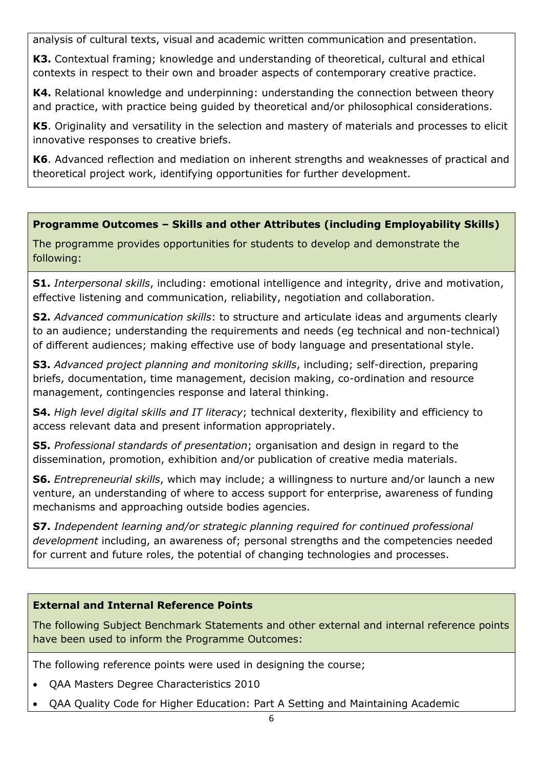analysis of cultural texts, visual and academic written communication and presentation.

**K3.** Contextual framing; knowledge and understanding of theoretical, cultural and ethical contexts in respect to their own and broader aspects of contemporary creative practice.

**K4.** Relational knowledge and underpinning: understanding the connection between theory and practice, with practice being guided by theoretical and/or philosophical considerations.

**K5**. Originality and versatility in the selection and mastery of materials and processes to elicit innovative responses to creative briefs.

**K6**. Advanced reflection and mediation on inherent strengths and weaknesses of practical and theoretical project work, identifying opportunities for further development.

**Programme Outcomes – Skills and other Attributes (including Employability Skills)**

The programme provides opportunities for students to develop and demonstrate the following:

**S1.** *Interpersonal skills*, including: emotional intelligence and integrity, drive and motivation, effective listening and communication, reliability, negotiation and collaboration.

**S2.** *Advanced communication skills*: to structure and articulate ideas and arguments clearly to an audience; understanding the requirements and needs (eg technical and non-technical) of different audiences; making effective use of body language and presentational style.

**S3.** *Advanced project planning and monitoring skills*, including; self-direction, preparing briefs, documentation, time management, decision making, co-ordination and resource management, contingencies response and lateral thinking.

**S4.** *High level digital skills and IT literacy*; technical dexterity, flexibility and efficiency to access relevant data and present information appropriately.

**S5.** *Professional standards of presentation*; organisation and design in regard to the dissemination, promotion, exhibition and/or publication of creative media materials.

**S6.** *Entrepreneurial skills*, which may include; a willingness to nurture and/or launch a new venture, an understanding of where to access support for enterprise, awareness of funding mechanisms and approaching outside bodies agencies.

**S7.** *Independent learning and/or strategic planning required for continued professional development* including, an awareness of; personal strengths and the competencies needed for current and future roles, the potential of changing technologies and processes.

# **External and Internal Reference Points**

The following Subject Benchmark Statements and other external and internal reference points have been used to inform the Programme Outcomes:

The following reference points were used in designing the course;

- QAA Masters Degree Characteristics 2010
- QAA Quality Code for Higher Education: Part A Setting and Maintaining Academic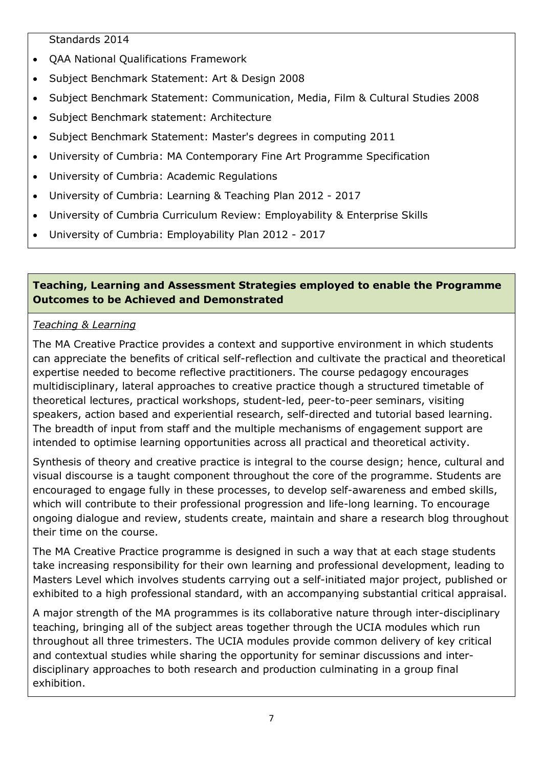Standards 2014

- QAA National Qualifications Framework
- Subject Benchmark Statement: Art & Design 2008
- Subject Benchmark Statement: Communication, Media, Film & Cultural Studies 2008
- Subject Benchmark statement: Architecture
- Subject Benchmark Statement: Master's degrees in computing 2011
- University of Cumbria: MA Contemporary Fine Art Programme Specification
- University of Cumbria: Academic Regulations
- University of Cumbria: Learning & Teaching Plan 2012 2017
- University of Cumbria Curriculum Review: Employability & Enterprise Skills
- University of Cumbria: Employability Plan 2012 2017

## **Teaching, Learning and Assessment Strategies employed to enable the Programme Outcomes to be Achieved and Demonstrated**

# *Teaching & Learning*

The MA Creative Practice provides a context and supportive environment in which students can appreciate the benefits of critical self-reflection and cultivate the practical and theoretical expertise needed to become reflective practitioners. The course pedagogy encourages multidisciplinary, lateral approaches to creative practice though a structured timetable of theoretical lectures, practical workshops, student-led, peer-to-peer seminars, visiting speakers, action based and experiential research, self-directed and tutorial based learning. The breadth of input from staff and the multiple mechanisms of engagement support are intended to optimise learning opportunities across all practical and theoretical activity.

Synthesis of theory and creative practice is integral to the course design; hence, cultural and visual discourse is a taught component throughout the core of the programme. Students are encouraged to engage fully in these processes, to develop self-awareness and embed skills, which will contribute to their professional progression and life-long learning. To encourage ongoing dialogue and review, students create, maintain and share a research blog throughout their time on the course.

The MA Creative Practice programme is designed in such a way that at each stage students take increasing responsibility for their own learning and professional development, leading to Masters Level which involves students carrying out a self-initiated major project, published or exhibited to a high professional standard, with an accompanying substantial critical appraisal.

A major strength of the MA programmes is its collaborative nature through inter-disciplinary teaching, bringing all of the subject areas together through the UCIA modules which run throughout all three trimesters. The UCIA modules provide common delivery of key critical and contextual studies while sharing the opportunity for seminar discussions and interdisciplinary approaches to both research and production culminating in a group final exhibition.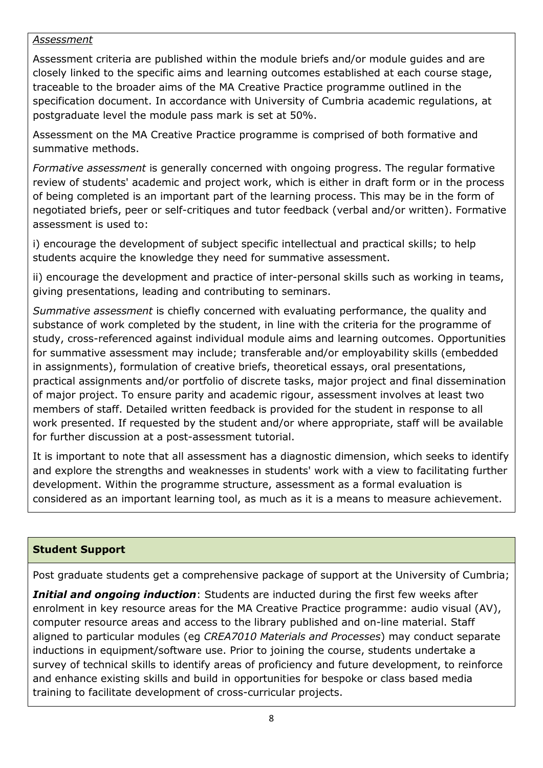#### *Assessment*

Assessment criteria are published within the module briefs and/or module guides and are closely linked to the specific aims and learning outcomes established at each course stage, traceable to the broader aims of the MA Creative Practice programme outlined in the specification document. In accordance with University of Cumbria academic regulations, at postgraduate level the module pass mark is set at 50%.

Assessment on the MA Creative Practice programme is comprised of both formative and summative methods.

*Formative assessment* is generally concerned with ongoing progress. The regular formative review of students' academic and project work, which is either in draft form or in the process of being completed is an important part of the learning process. This may be in the form of negotiated briefs, peer or self-critiques and tutor feedback (verbal and/or written). Formative assessment is used to:

i) encourage the development of subject specific intellectual and practical skills; to help students acquire the knowledge they need for summative assessment.

ii) encourage the development and practice of inter-personal skills such as working in teams, giving presentations, leading and contributing to seminars.

*Summative assessment* is chiefly concerned with evaluating performance, the quality and substance of work completed by the student, in line with the criteria for the programme of study, cross-referenced against individual module aims and learning outcomes. Opportunities for summative assessment may include; transferable and/or employability skills (embedded in assignments), formulation of creative briefs, theoretical essays, oral presentations, practical assignments and/or portfolio of discrete tasks, major project and final dissemination of major project. To ensure parity and academic rigour, assessment involves at least two members of staff. Detailed written feedback is provided for the student in response to all work presented. If requested by the student and/or where appropriate, staff will be available for further discussion at a post-assessment tutorial.

It is important to note that all assessment has a diagnostic dimension, which seeks to identify and explore the strengths and weaknesses in students' work with a view to facilitating further development. Within the programme structure, assessment as a formal evaluation is considered as an important learning tool, as much as it is a means to measure achievement.

# **Student Support**

Post graduate students get a comprehensive package of support at the University of Cumbria;

*Initial and ongoing induction*: Students are inducted during the first few weeks after enrolment in key resource areas for the MA Creative Practice programme: audio visual (AV), computer resource areas and access to the library published and on-line material. Staff aligned to particular modules (eg *CREA7010 Materials and Processes*) may conduct separate inductions in equipment/software use. Prior to joining the course, students undertake a survey of technical skills to identify areas of proficiency and future development, to reinforce and enhance existing skills and build in opportunities for bespoke or class based media training to facilitate development of cross-curricular projects.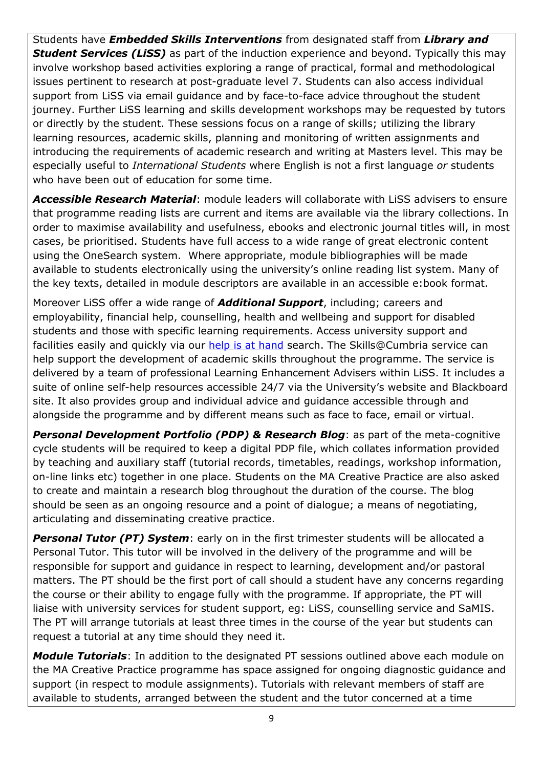Students have *Embedded Skills Interventions* from designated staff from *Library and*  **Student Services (LiSS)** as part of the induction experience and beyond. Typically this may involve workshop based activities exploring a range of practical, formal and methodological issues pertinent to research at post-graduate level 7. Students can also access individual support from LiSS via email guidance and by face-to-face advice throughout the student journey. Further LiSS learning and skills development workshops may be requested by tutors or directly by the student. These sessions focus on a range of skills; utilizing the library learning resources, academic skills, planning and monitoring of written assignments and introducing the requirements of academic research and writing at Masters level. This may be especially useful to *International Students* where English is not a first language *or* students who have been out of education for some time.

*Accessible Research Material*: module leaders will collaborate with LiSS advisers to ensure that programme reading lists are current and items are available via the library collections. In order to maximise availability and usefulness, ebooks and electronic journal titles will, in most cases, be prioritised. Students have full access to a wide range of great electronic content using the OneSearch system. Where appropriate, module bibliographies will be made available to students electronically using the university's online reading list system. Many of the key texts, detailed in module descriptors are available in an accessible e:book format.

Moreover LiSS offer a wide range of *Additional Support*, including; careers and employability, financial help, counselling, health and wellbeing and support for disabled students and those with specific learning requirements. Access university support and facilities easily and quickly via our [help is at hand](http://www.cumbria.ac.uk/StudentLife/Support/Helpisathand.aspx) search. The Skills@Cumbria service can help support the development of academic skills throughout the programme. The service is delivered by a team of professional Learning Enhancement Advisers within LiSS. It includes a suite of online self-help resources accessible 24/7 via the University's website and Blackboard site. It also provides group and individual advice and guidance accessible through and alongside the programme and by different means such as face to face, email or virtual.

**Personal Development Portfolio (PDP) & Research Blog:** as part of the meta-cognitive cycle students will be required to keep a digital PDP file, which collates information provided by teaching and auxiliary staff (tutorial records, timetables, readings, workshop information, on-line links etc) together in one place. Students on the MA Creative Practice are also asked to create and maintain a research blog throughout the duration of the course. The blog should be seen as an ongoing resource and a point of dialogue; a means of negotiating, articulating and disseminating creative practice.

**Personal Tutor (PT) System:** early on in the first trimester students will be allocated a Personal Tutor. This tutor will be involved in the delivery of the programme and will be responsible for support and guidance in respect to learning, development and/or pastoral matters. The PT should be the first port of call should a student have any concerns regarding the course or their ability to engage fully with the programme. If appropriate, the PT will liaise with university services for student support, eg: LiSS, counselling service and SaMIS. The PT will arrange tutorials at least three times in the course of the year but students can request a tutorial at any time should they need it.

*Module Tutorials*: In addition to the designated PT sessions outlined above each module on the MA Creative Practice programme has space assigned for ongoing diagnostic guidance and support (in respect to module assignments). Tutorials with relevant members of staff are available to students, arranged between the student and the tutor concerned at a time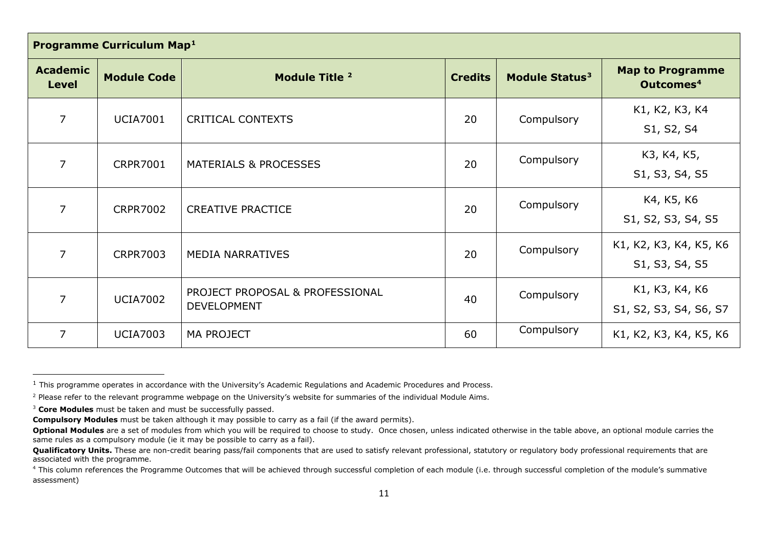<span id="page-9-3"></span><span id="page-9-2"></span><span id="page-9-1"></span><span id="page-9-0"></span>

| Programme Curriculum Map <sup>1</sup> |                    |                                                       |                |                            |                                                  |
|---------------------------------------|--------------------|-------------------------------------------------------|----------------|----------------------------|--------------------------------------------------|
| <b>Academic</b><br><b>Level</b>       | <b>Module Code</b> | Module Title <sup>2</sup>                             | <b>Credits</b> | Module Status <sup>3</sup> | <b>Map to Programme</b><br>Outcomes <sup>4</sup> |
| $\overline{7}$                        | <b>UCIA7001</b>    | <b>CRITICAL CONTEXTS</b>                              | 20             | Compulsory                 | K1, K2, K3, K4<br>S1, S2, S4                     |
| 7                                     | <b>CRPR7001</b>    | <b>MATERIALS &amp; PROCESSES</b>                      | 20             | Compulsory                 | K3, K4, K5,<br>S1, S3, S4, S5                    |
| 7                                     | <b>CRPR7002</b>    | <b>CREATIVE PRACTICE</b>                              | 20             | Compulsory                 | K4, K5, K6<br>S1, S2, S3, S4, S5                 |
| 7                                     | <b>CRPR7003</b>    | <b>MEDIA NARRATIVES</b>                               | 20             | Compulsory                 | K1, K2, K3, K4, K5, K6<br>S1, S3, S4, S5         |
| 7                                     | <b>UCIA7002</b>    | PROJECT PROPOSAL & PROFESSIONAL<br><b>DEVELOPMENT</b> | 40             | Compulsory                 | K1, K3, K4, K6<br>S1, S2, S3, S4, S6, S7         |
| 7                                     | <b>UCIA7003</b>    | <b>MA PROJECT</b>                                     | 60             | Compulsory                 | K1, K2, K3, K4, K5, K6                           |

 $\overline{\phantom{a}}$ 

 $1$  This programme operates in accordance with the University's Academic Regulations and Academic Procedures and Process.

<sup>&</sup>lt;sup>2</sup> Please refer to the relevant programme webpage on the University's website for summaries of the individual Module Aims.

<sup>&</sup>lt;sup>3</sup> Core Modules must be taken and must be successfully passed.

**Compulsory Modules** must be taken although it may possible to carry as a fail (if the award permits).

**Optional Modules** are a set of modules from which you will be required to choose to study. Once chosen, unless indicated otherwise in the table above, an optional module carries the same rules as a compulsory module (ie it may be possible to carry as a fail).

**Qualificatory Units.** These are non-credit bearing pass/fail components that are used to satisfy relevant professional, statutory or regulatory body professional requirements that are associated with the programme.

<sup>&</sup>lt;sup>4</sup> This column references the Programme Outcomes that will be achieved through successful completion of each module (i.e. through successful completion of the module's summative assessment)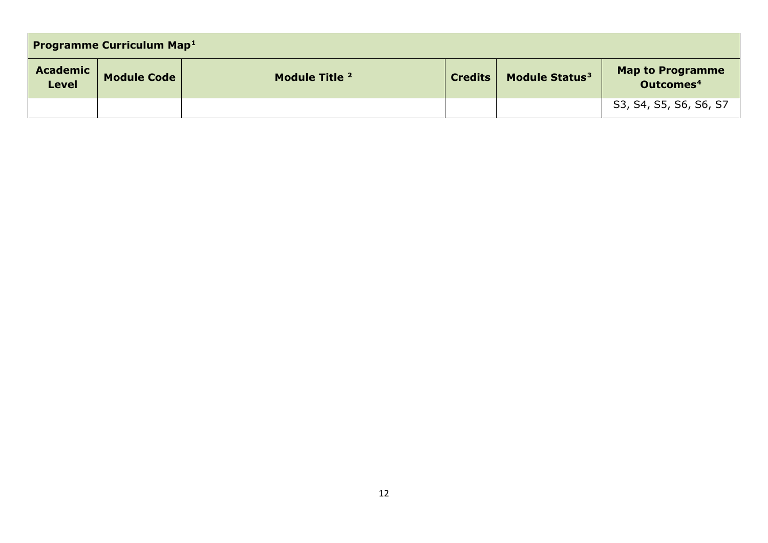| <b>Programme Curriculum Map1</b> |                    |                |                |                            |                                           |
|----------------------------------|--------------------|----------------|----------------|----------------------------|-------------------------------------------|
| <b>Academic</b><br><b>Level</b>  | <b>Module Code</b> | Module Title 2 | <b>Credits</b> | Module Status <sup>3</sup> | Map to Programme<br>Outcomes <sup>4</sup> |
|                                  |                    |                |                |                            | S3, S4, S5, S6, S6, S7                    |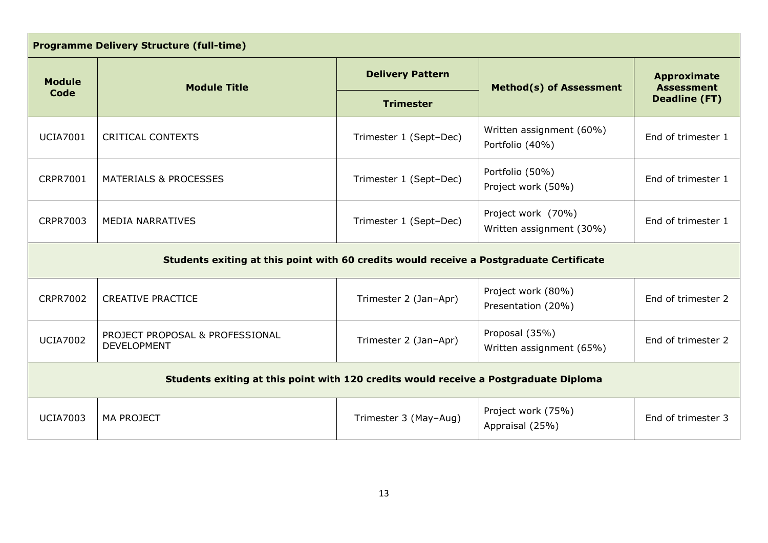| <b>Programme Delivery Structure (full-time)</b>                                         |                                                       |                         |                                                |                                         |  |
|-----------------------------------------------------------------------------------------|-------------------------------------------------------|-------------------------|------------------------------------------------|-----------------------------------------|--|
| <b>Module</b>                                                                           | <b>Module Title</b>                                   | <b>Delivery Pattern</b> | <b>Method(s) of Assessment</b>                 | <b>Approximate</b><br><b>Assessment</b> |  |
| Code                                                                                    |                                                       | <b>Trimester</b>        |                                                | <b>Deadline (FT)</b>                    |  |
| <b>UCIA7001</b>                                                                         | <b>CRITICAL CONTEXTS</b>                              | Trimester 1 (Sept-Dec)  | Written assignment (60%)<br>Portfolio (40%)    | End of trimester 1                      |  |
| <b>CRPR7001</b>                                                                         | <b>MATERIALS &amp; PROCESSES</b>                      | Trimester 1 (Sept-Dec)  | Portfolio (50%)<br>Project work (50%)          | End of trimester 1                      |  |
| <b>CRPR7003</b>                                                                         | <b>MEDIA NARRATIVES</b>                               | Trimester 1 (Sept-Dec)  | Project work (70%)<br>Written assignment (30%) | End of trimester 1                      |  |
| Students exiting at this point with 60 credits would receive a Postgraduate Certificate |                                                       |                         |                                                |                                         |  |
| <b>CRPR7002</b>                                                                         | <b>CREATIVE PRACTICE</b>                              | Trimester 2 (Jan-Apr)   | Project work (80%)<br>Presentation (20%)       | End of trimester 2                      |  |
| <b>UCIA7002</b>                                                                         | PROJECT PROPOSAL & PROFESSIONAL<br><b>DEVELOPMENT</b> | Trimester 2 (Jan-Apr)   | Proposal (35%)<br>Written assignment (65%)     | End of trimester 2                      |  |
| Students exiting at this point with 120 credits would receive a Postgraduate Diploma    |                                                       |                         |                                                |                                         |  |
| <b>UCIA7003</b>                                                                         | <b>MA PROJECT</b>                                     | Trimester 3 (May-Aug)   | Project work (75%)<br>Appraisal (25%)          | End of trimester 3                      |  |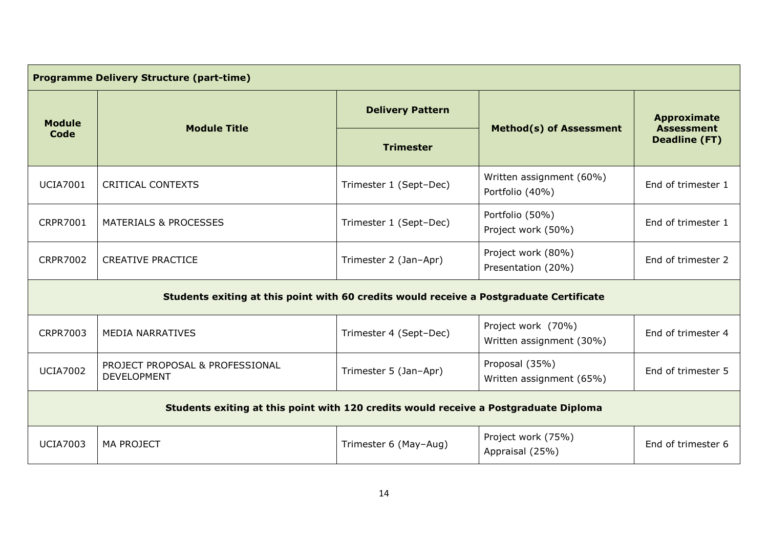| <b>Programme Delivery Structure (part-time)</b>                                         |                                                       |                         |                                                |                                                                 |
|-----------------------------------------------------------------------------------------|-------------------------------------------------------|-------------------------|------------------------------------------------|-----------------------------------------------------------------|
| <b>Module</b>                                                                           | <b>Module Title</b>                                   | <b>Delivery Pattern</b> |                                                | <b>Approximate</b><br><b>Assessment</b><br><b>Deadline (FT)</b> |
| <b>Code</b>                                                                             |                                                       | <b>Trimester</b>        | <b>Method(s) of Assessment</b>                 |                                                                 |
| <b>UCIA7001</b>                                                                         | <b>CRITICAL CONTEXTS</b>                              | Trimester 1 (Sept-Dec)  | Written assignment (60%)<br>Portfolio (40%)    | End of trimester 1                                              |
| <b>CRPR7001</b>                                                                         | <b>MATERIALS &amp; PROCESSES</b>                      | Trimester 1 (Sept-Dec)  | Portfolio (50%)<br>Project work (50%)          | End of trimester 1                                              |
| <b>CRPR7002</b>                                                                         | <b>CREATIVE PRACTICE</b>                              | Trimester 2 (Jan-Apr)   | Project work (80%)<br>Presentation (20%)       | End of trimester 2                                              |
| Students exiting at this point with 60 credits would receive a Postgraduate Certificate |                                                       |                         |                                                |                                                                 |
| <b>CRPR7003</b>                                                                         | <b>MEDIA NARRATIVES</b>                               | Trimester 4 (Sept-Dec)  | Project work (70%)<br>Written assignment (30%) | End of trimester 4                                              |
| <b>UCIA7002</b>                                                                         | PROJECT PROPOSAL & PROFESSIONAL<br><b>DEVELOPMENT</b> | Trimester 5 (Jan-Apr)   | Proposal (35%)<br>Written assignment (65%)     | End of trimester 5                                              |
| Students exiting at this point with 120 credits would receive a Postgraduate Diploma    |                                                       |                         |                                                |                                                                 |
| <b>UCIA7003</b>                                                                         | <b>MA PROJECT</b>                                     | Trimester 6 (May-Aug)   | Project work (75%)<br>Appraisal (25%)          | End of trimester 6                                              |